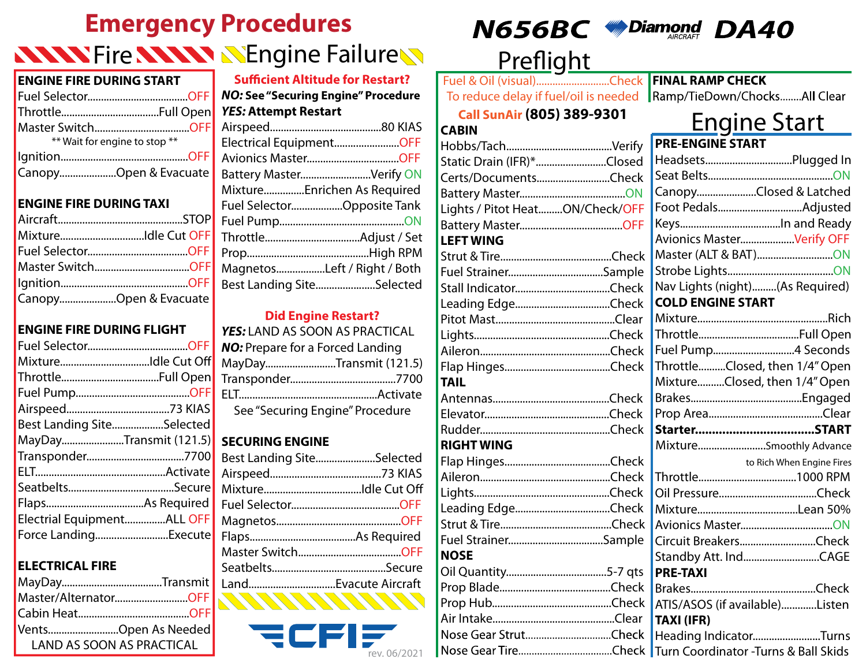# **Emergency Procedures NNNY Fire NNNN NEngine FailureN**

#### **ENGINE FIRE DURING START**

| ** Wait for engine to stop ** |  |
|-------------------------------|--|
|                               |  |
| CanopyOpen & Evacuate         |  |

### **ENGINE FIRE DURING TAXI**

| MixtureIdle Cut OFF   |
|-----------------------|
|                       |
| Master SwitchOFF      |
|                       |
| CanopyOpen & Evacuate |

### **ENGINE FIRE DURING FLIGHT**

| MixtureIdle Cut Off        |  |
|----------------------------|--|
|                            |  |
|                            |  |
|                            |  |
| Best Landing SiteSelected  |  |
| MayDayTransmit (121.5)     |  |
|                            |  |
|                            |  |
|                            |  |
|                            |  |
| Electrial EquipmentALL OFF |  |
| Force LandingExecute       |  |

### **ELECTRICAL FIRE**

| Master/AlternatorOFF |                                  |
|----------------------|----------------------------------|
|                      |                                  |
| VentsOpen As Needed  |                                  |
|                      | <b>LAND AS SOON AS PRACTICAL</b> |

| <b>Sufficient Altitude for Restart?</b> |  |  |
|-----------------------------------------|--|--|
| NO: See "Securing Engine" Procedure     |  |  |
| <b>YES: Attempt Restart</b>             |  |  |
|                                         |  |  |
| Electrical EquipmentOFF                 |  |  |
| Avionics MasterOFF                      |  |  |
| Battery MasterVerify ON                 |  |  |
| MixtureEnrichen As Required             |  |  |
| Fuel SelectorOpposite Tank              |  |  |
|                                         |  |  |
|                                         |  |  |
|                                         |  |  |
| MagnetosLeft / Right / Both             |  |  |
| Best Landing SiteSelected               |  |  |

### **Did Engine Restart?**

| YES: LAND AS SOON AS PRACTICAL          |  |  |
|-----------------------------------------|--|--|
| <b>NO:</b> Prepare for a Forced Landing |  |  |
| MayDayTransmit (121.5)                  |  |  |
|                                         |  |  |
|                                         |  |  |
| See "Securing Engine" Procedure         |  |  |

### **SECURING ENGINE**

| Best Landing SiteSelected |  |
|---------------------------|--|
|                           |  |
|                           |  |
|                           |  |
|                           |  |
|                           |  |
|                           |  |
|                           |  |
|                           |  |





## Preflight

Fuel & Oil (visual)................................Check FINAL RAMP CHECK To reduce delay if fuel/oil is needed Ramp/TieDown/Chocks........All Clear

### **Call SunAir (805) 389-9301**

**CABIN**

# Engine Start

| Hobbs/Tach<br>Verify            |                             |
|---------------------------------|-----------------------------|
| Static Drain (IFR)*Closed       | ł                           |
| Certs/DocumentsCheck            | Î                           |
|                                 | Ó                           |
| Lights / Pitot HeatON/Check/OFF | I                           |
|                                 | ł                           |
| <b>LEFT WING</b>                | I                           |
|                                 | ı                           |
| Fuel StrainerSample             | <b>'</b>                    |
|                                 | ľ                           |
|                                 | I                           |
|                                 | ı                           |
|                                 |                             |
|                                 | ľ                           |
|                                 |                             |
| <b>TAIL</b>                     | ı                           |
|                                 | F                           |
|                                 | ŀ                           |
|                                 |                             |
| <b>RIGHT WING</b>               | I                           |
|                                 |                             |
|                                 | Ī                           |
|                                 | $\overline{(\overline{\ }}$ |
| Leading EdgeCheck               | ı                           |
|                                 | Í                           |
| Fuel StrainerSample             | $\overline{(\}$             |
| <b>NOSE</b>                     | <u>`</u>                    |
|                                 | ı                           |
|                                 | f                           |
|                                 | Í                           |
|                                 | ٦                           |
| Nose Gear StrutCheck            | ł                           |
|                                 |                             |

| <b>PRE-ENGINE START</b>         |
|---------------------------------|
| HeadsetsPlugged In              |
|                                 |
| CanopyClosed & Latched          |
| Foot PedalsAdjusted             |
|                                 |
| Avionics MasterVerify OFF       |
| Master (ALT & BAT)ON            |
|                                 |
| Nav Lights (night)(As Required) |
| <b>COLD ENGINE START</b>        |
|                                 |
|                                 |
| Fuel Pump4 Seconds              |
| ThrottleClosed, then 1/4" Open  |
| MixtureClosed, then 1/4" Open   |
|                                 |
|                                 |
|                                 |
| MixtureSmoothly Advance         |
| to Rich When Engine Fires       |
|                                 |
|                                 |
|                                 |
|                                 |
| Circuit BreakersCheck           |
| Standby Att. IndCAGE            |
| <b>PRE-TAXI</b>                 |
|                                 |
| ATIS/ASOS (if available)Listen  |
| <b>TAXI (IFR)</b>               |

Heading Indicator.........................Turns rev. 06/2021 Turn Coordinator -Turns & Ball Skids